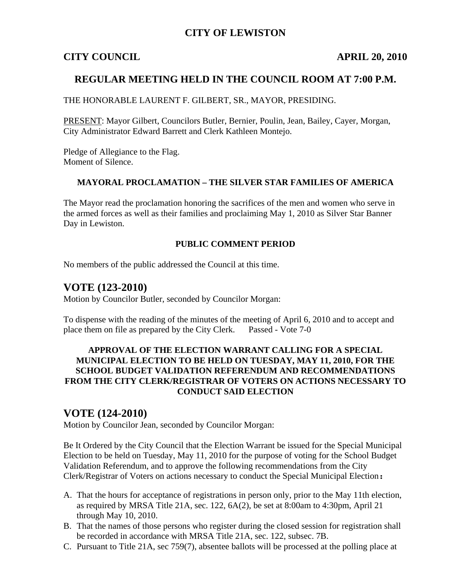## **CITY OF LEWISTON**

## **CITY COUNCIL APRIL 20, 2010**

## **REGULAR MEETING HELD IN THE COUNCIL ROOM AT 7:00 P.M.**

THE HONORABLE LAURENT F. GILBERT, SR., MAYOR, PRESIDING.

PRESENT: Mayor Gilbert, Councilors Butler, Bernier, Poulin, Jean, Bailey, Cayer, Morgan, City Administrator Edward Barrett and Clerk Kathleen Montejo.

Pledge of Allegiance to the Flag. Moment of Silence.

#### **MAYORAL PROCLAMATION – THE SILVER STAR FAMILIES OF AMERICA**

The Mayor read the proclamation honoring the sacrifices of the men and women who serve in the armed forces as well as their families and proclaiming May 1, 2010 as Silver Star Banner Day in Lewiston.

#### **PUBLIC COMMENT PERIOD**

No members of the public addressed the Council at this time.

## **VOTE (123-2010)**

Motion by Councilor Butler, seconded by Councilor Morgan:

To dispense with the reading of the minutes of the meeting of April 6, 2010 and to accept and place them on file as prepared by the City Clerk. Passed - Vote 7-0

#### **APPROVAL OF THE ELECTION WARRANT CALLING FOR A SPECIAL MUNICIPAL ELECTION TO BE HELD ON TUESDAY, MAY 11, 2010, FOR THE SCHOOL BUDGET VALIDATION REFERENDUM AND RECOMMENDATIONS FROM THE CITY CLERK/REGISTRAR OF VOTERS ON ACTIONS NECESSARY TO CONDUCT SAID ELECTION**

## **VOTE (124-2010)**

Motion by Councilor Jean, seconded by Councilor Morgan:

Be It Ordered by the City Council that the Election Warrant be issued for the Special Municipal Election to be held on Tuesday, May 11, 2010 for the purpose of voting for the School Budget Validation Referendum, and to approve the following recommendations from the City Clerk/Registrar of Voters on actions necessary to conduct the Special Municipal Election**:** 

- A. That the hours for acceptance of registrations in person only, prior to the May 11th election, as required by MRSA Title 21A, sec. 122, 6A(2), be set at 8:00am to 4:30pm, April 21 through May 10, 2010.
- B. That the names of those persons who register during the closed session for registration shall be recorded in accordance with MRSA Title 21A, sec. 122, subsec. 7B.
- C. Pursuant to Title 21A, sec 759(7), absentee ballots will be processed at the polling place at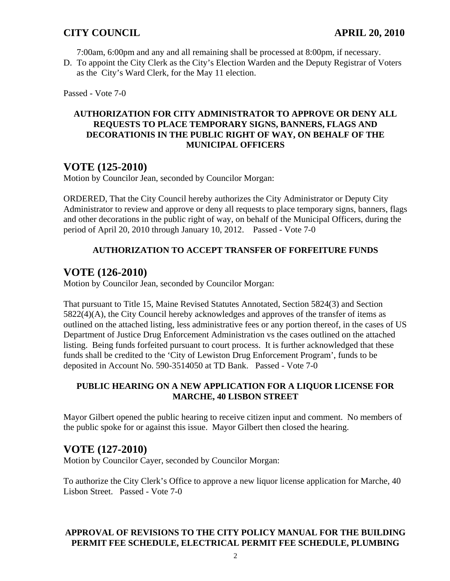7:00am, 6:00pm and any and all remaining shall be processed at 8:00pm, if necessary.

D. To appoint the City Clerk as the City's Election Warden and the Deputy Registrar of Voters as theCity's Ward Clerk, for the May 11 election.

Passed - Vote 7-0

#### **AUTHORIZATION FOR CITY ADMINISTRATOR TO APPROVE OR DENY ALL REQUESTS TO PLACE TEMPORARY SIGNS, BANNERS, FLAGS AND DECORATIONIS IN THE PUBLIC RIGHT OF WAY, ON BEHALF OF THE MUNICIPAL OFFICERS**

## **VOTE (125-2010)**

Motion by Councilor Jean, seconded by Councilor Morgan:

ORDERED, That the City Council hereby authorizes the City Administrator or Deputy City Administrator to review and approve or deny all requests to place temporary signs, banners, flags and other decorations in the public right of way, on behalf of the Municipal Officers, during the period of April 20, 2010 through January 10, 2012. Passed - Vote 7-0

### **AUTHORIZATION TO ACCEPT TRANSFER OF FORFEITURE FUNDS**

## **VOTE (126-2010)**

Motion by Councilor Jean, seconded by Councilor Morgan:

That pursuant to Title 15, Maine Revised Statutes Annotated, Section 5824(3) and Section 5822(4)(A), the City Council hereby acknowledges and approves of the transfer of items as outlined on the attached listing, less administrative fees or any portion thereof, in the cases of US Department of Justice Drug Enforcement Administration vs the cases outlined on the attached listing. Being funds forfeited pursuant to court process. It is further acknowledged that these funds shall be credited to the 'City of Lewiston Drug Enforcement Program', funds to be deposited in Account No. 590-3514050 at TD Bank. Passed - Vote 7-0

#### **PUBLIC HEARING ON A NEW APPLICATION FOR A LIQUOR LICENSE FOR MARCHE, 40 LISBON STREET**

Mayor Gilbert opened the public hearing to receive citizen input and comment. No members of the public spoke for or against this issue. Mayor Gilbert then closed the hearing.

# **VOTE (127-2010)**

Motion by Councilor Cayer, seconded by Councilor Morgan:

To authorize the City Clerk's Office to approve a new liquor license application for Marche, 40 Lisbon Street. Passed - Vote 7-0

### **APPROVAL OF REVISIONS TO THE CITY POLICY MANUAL FOR THE BUILDING PERMIT FEE SCHEDULE, ELECTRICAL PERMIT FEE SCHEDULE, PLUMBING**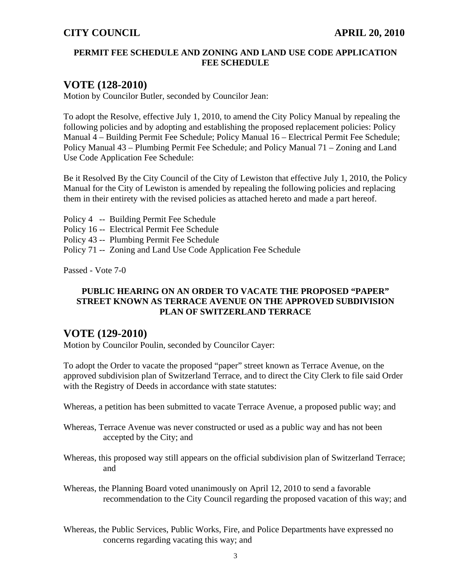#### **PERMIT FEE SCHEDULE AND ZONING AND LAND USE CODE APPLICATION FEE SCHEDULE**

## **VOTE (128-2010)**

Motion by Councilor Butler, seconded by Councilor Jean:

To adopt the Resolve, effective July 1, 2010, to amend the City Policy Manual by repealing the following policies and by adopting and establishing the proposed replacement policies: Policy Manual 4 – Building Permit Fee Schedule; Policy Manual 16 – Electrical Permit Fee Schedule; Policy Manual 43 – Plumbing Permit Fee Schedule; and Policy Manual 71 – Zoning and Land Use Code Application Fee Schedule:

Be it Resolved By the City Council of the City of Lewiston that effective July 1, 2010, the Policy Manual for the City of Lewiston is amended by repealing the following policies and replacing them in their entirety with the revised policies as attached hereto and made a part hereof.

Policy 4 -- Building Permit Fee Schedule Policy 16 -- Electrical Permit Fee Schedule Policy 43 -- Plumbing Permit Fee Schedule Policy 71 -- Zoning and Land Use Code Application Fee Schedule

Passed - Vote 7-0

#### **PUBLIC HEARING ON AN ORDER TO VACATE THE PROPOSED "PAPER" STREET KNOWN AS TERRACE AVENUE ON THE APPROVED SUBDIVISION PLAN OF SWITZERLAND TERRACE**

## **VOTE (129-2010)**

Motion by Councilor Poulin, seconded by Councilor Cayer:

To adopt the Order to vacate the proposed "paper" street known as Terrace Avenue, on the approved subdivision plan of Switzerland Terrace, and to direct the City Clerk to file said Order with the Registry of Deeds in accordance with state statutes:

Whereas, a petition has been submitted to vacate Terrace Avenue, a proposed public way; and

- Whereas, Terrace Avenue was never constructed or used as a public way and has not been accepted by the City; and
- Whereas, this proposed way still appears on the official subdivision plan of Switzerland Terrace; and

Whereas, the Planning Board voted unanimously on April 12, 2010 to send a favorable recommendation to the City Council regarding the proposed vacation of this way; and

Whereas, the Public Services, Public Works, Fire, and Police Departments have expressed no concerns regarding vacating this way; and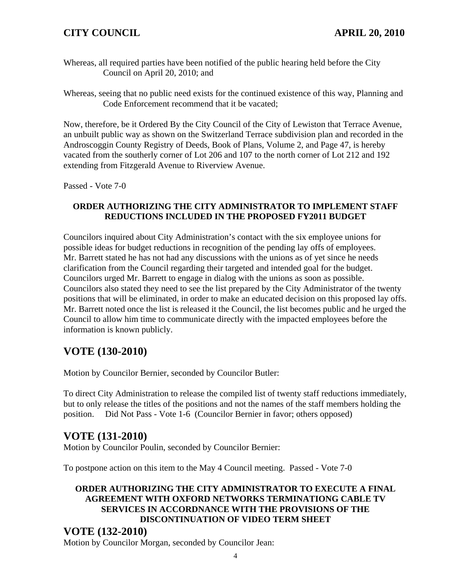# **CITY COUNCIL APRIL 20, 2010**

- Whereas, all required parties have been notified of the public hearing held before the City Council on April 20, 2010; and
- Whereas, seeing that no public need exists for the continued existence of this way, Planning and Code Enforcement recommend that it be vacated;

Now, therefore, be it Ordered By the City Council of the City of Lewiston that Terrace Avenue, an unbuilt public way as shown on the Switzerland Terrace subdivision plan and recorded in the Androscoggin County Registry of Deeds, Book of Plans, Volume 2, and Page 47, is hereby vacated from the southerly corner of Lot 206 and 107 to the north corner of Lot 212 and 192 extending from Fitzgerald Avenue to Riverview Avenue.

Passed - Vote 7-0

#### **ORDER AUTHORIZING THE CITY ADMINISTRATOR TO IMPLEMENT STAFF REDUCTIONS INCLUDED IN THE PROPOSED FY2011 BUDGET**

Councilors inquired about City Administration's contact with the six employee unions for possible ideas for budget reductions in recognition of the pending lay offs of employees. Mr. Barrett stated he has not had any discussions with the unions as of yet since he needs clarification from the Council regarding their targeted and intended goal for the budget. Councilors urged Mr. Barrett to engage in dialog with the unions as soon as possible. Councilors also stated they need to see the list prepared by the City Administrator of the twenty positions that will be eliminated, in order to make an educated decision on this proposed lay offs. Mr. Barrett noted once the list is released it the Council, the list becomes public and he urged the Council to allow him time to communicate directly with the impacted employees before the information is known publicly.

# **VOTE (130-2010)**

Motion by Councilor Bernier, seconded by Councilor Butler:

To direct City Administration to release the compiled list of twenty staff reductions immediately, but to only release the titles of the positions and not the names of the staff members holding the position. Did Not Pass - Vote 1-6 (Councilor Bernier in favor; others opposed)

# **VOTE (131-2010)**

Motion by Councilor Poulin, seconded by Councilor Bernier:

To postpone action on this item to the May 4 Council meeting. Passed - Vote 7-0

## **ORDER AUTHORIZING THE CITY ADMINISTRATOR TO EXECUTE A FINAL AGREEMENT WITH OXFORD NETWORKS TERMINATIONG CABLE TV SERVICES IN ACCORDNANCE WITH THE PROVISIONS OF THE DISCONTINUATION OF VIDEO TERM SHEET**

## **VOTE (132-2010)**

Motion by Councilor Morgan, seconded by Councilor Jean: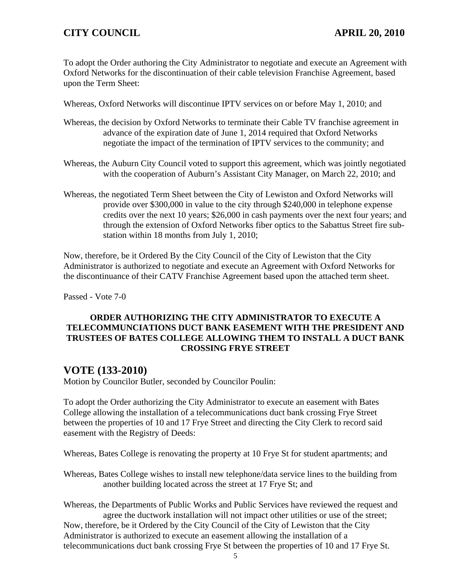## **CITY COUNCIL APRIL 20, 2010**

To adopt the Order authoring the City Administrator to negotiate and execute an Agreement with Oxford Networks for the discontinuation of their cable television Franchise Agreement, based upon the Term Sheet:

Whereas, Oxford Networks will discontinue IPTV services on or before May 1, 2010; and

- Whereas, the decision by Oxford Networks to terminate their Cable TV franchise agreement in advance of the expiration date of June 1, 2014 required that Oxford Networks negotiate the impact of the termination of IPTV services to the community; and
- Whereas, the Auburn City Council voted to support this agreement, which was jointly negotiated with the cooperation of Auburn's Assistant City Manager, on March 22, 2010; and
- Whereas, the negotiated Term Sheet between the City of Lewiston and Oxford Networks will provide over \$300,000 in value to the city through \$240,000 in telephone expense credits over the next 10 years; \$26,000 in cash payments over the next four years; and through the extension of Oxford Networks fiber optics to the Sabattus Street fire substation within 18 months from July 1, 2010;

Now, therefore, be it Ordered By the City Council of the City of Lewiston that the City Administrator is authorized to negotiate and execute an Agreement with Oxford Networks for the discontinuance of their CATV Franchise Agreement based upon the attached term sheet.

Passed - Vote 7-0

#### **ORDER AUTHORIZING THE CITY ADMINISTRATOR TO EXECUTE A TELECOMMUNCIATIONS DUCT BANK EASEMENT WITH THE PRESIDENT AND TRUSTEES OF BATES COLLEGE ALLOWING THEM TO INSTALL A DUCT BANK CROSSING FRYE STREET**

## **VOTE (133-2010)**

Motion by Councilor Butler, seconded by Councilor Poulin:

To adopt the Order authorizing the City Administrator to execute an easement with Bates College allowing the installation of a telecommunications duct bank crossing Frye Street between the properties of 10 and 17 Frye Street and directing the City Clerk to record said easement with the Registry of Deeds:

Whereas, Bates College is renovating the property at 10 Frye St for student apartments; and

Whereas, Bates College wishes to install new telephone/data service lines to the building from another building located across the street at 17 Frye St; and

Whereas, the Departments of Public Works and Public Services have reviewed the request and agree the ductwork installation will not impact other utilities or use of the street; Now, therefore, be it Ordered by the City Council of the City of Lewiston that the City Administrator is authorized to execute an easement allowing the installation of a telecommunications duct bank crossing Frye St between the properties of 10 and 17 Frye St.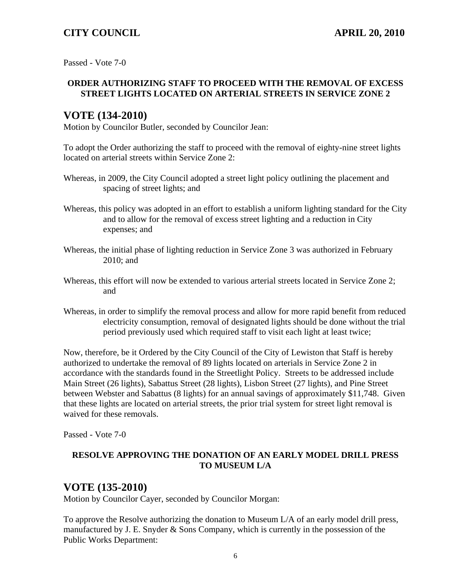## **CITY COUNCIL APRIL 20, 2010**

Passed - Vote 7-0

#### **ORDER AUTHORIZING STAFF TO PROCEED WITH THE REMOVAL OF EXCESS STREET LIGHTS LOCATED ON ARTERIAL STREETS IN SERVICE ZONE 2**

# **VOTE (134-2010)**

Motion by Councilor Butler, seconded by Councilor Jean:

To adopt the Order authorizing the staff to proceed with the removal of eighty-nine street lights located on arterial streets within Service Zone 2:

- Whereas, in 2009, the City Council adopted a street light policy outlining the placement and spacing of street lights; and
- Whereas, this policy was adopted in an effort to establish a uniform lighting standard for the City and to allow for the removal of excess street lighting and a reduction in City expenses; and
- Whereas, the initial phase of lighting reduction in Service Zone 3 was authorized in February 2010; and
- Whereas, this effort will now be extended to various arterial streets located in Service Zone 2; and
- Whereas, in order to simplify the removal process and allow for more rapid benefit from reduced electricity consumption, removal of designated lights should be done without the trial period previously used which required staff to visit each light at least twice;

Now, therefore, be it Ordered by the City Council of the City of Lewiston that Staff is hereby authorized to undertake the removal of 89 lights located on arterials in Service Zone 2 in accordance with the standards found in the Streetlight Policy. Streets to be addressed include Main Street (26 lights), Sabattus Street (28 lights), Lisbon Street (27 lights), and Pine Street between Webster and Sabattus (8 lights) for an annual savings of approximately \$11,748. Given that these lights are located on arterial streets, the prior trial system for street light removal is waived for these removals.

Passed - Vote 7-0

#### **RESOLVE APPROVING THE DONATION OF AN EARLY MODEL DRILL PRESS TO MUSEUM L/A**

# **VOTE (135-2010)**

Motion by Councilor Cayer, seconded by Councilor Morgan:

To approve the Resolve authorizing the donation to Museum L/A of an early model drill press, manufactured by J. E. Snyder & Sons Company, which is currently in the possession of the Public Works Department: